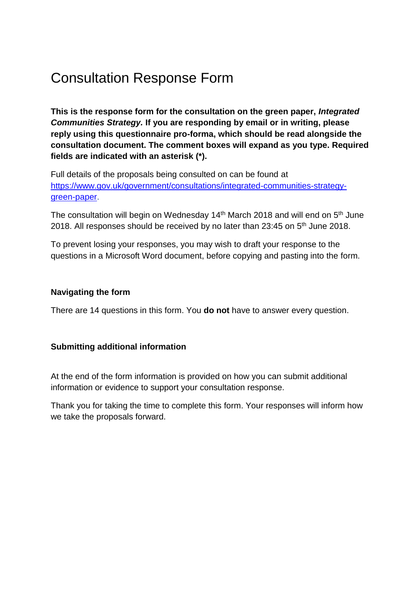# Consultation Response Form

**This is the response form for the consultation on the green paper,** *Integrated Communities Strategy.* **If you are responding by email or in writing, please reply using this questionnaire pro-forma, which should be read alongside the consultation document. The comment boxes will expand as you type. Required fields are indicated with an asterisk (\*).**

Full details of the proposals being consulted on can be found at [https://www.gov.uk/government/consultations/integrated-communities-strategy](https://www.gov.uk/government/consultations/integrated-communities-strategy-green-paper)[green-paper.](https://www.gov.uk/government/consultations/integrated-communities-strategy-green-paper)

The consultation will begin on Wednesday 14<sup>th</sup> March 2018 and will end on  $5<sup>th</sup>$  June 2018. All responses should be received by no later than 23:45 on  $5<sup>th</sup>$  June 2018.

To prevent losing your responses, you may wish to draft your response to the questions in a Microsoft Word document, before copying and pasting into the form.

#### **Navigating the form**

There are 14 questions in this form. You **do not** have to answer every question.

#### **Submitting additional information**

At the end of the form information is provided on how you can submit additional information or evidence to support your consultation response.

Thank you for taking the time to complete this form. Your responses will inform how we take the proposals forward.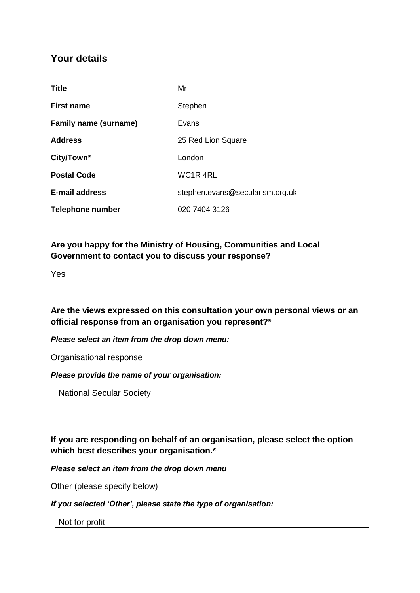# **Your details**

| <b>Title</b>                 | Mr                                |
|------------------------------|-----------------------------------|
| <b>First name</b>            | Stephen                           |
| <b>Family name (surname)</b> | Evans                             |
| <b>Address</b>               | 25 Red Lion Square                |
| City/Town*                   | London                            |
| <b>Postal Code</b>           | WC <sub>1</sub> R <sub>4</sub> RL |
| <b>E-mail address</b>        | stephen.evans@secularism.org.uk   |
| Telephone number             | 020 7404 3126                     |

# **Are you happy for the Ministry of Housing, Communities and Local Government to contact you to discuss your response?**

Yes

**Are the views expressed on this consultation your own personal views or an official response from an organisation you represent?\***

*Please select an item from the drop down menu:*

Organisational response

*Please provide the name of your organisation:* 

National Secular Society

**If you are responding on behalf of an organisation, please select the option which best describes your organisation.\***

#### *Please select an item from the drop down menu*

Other (please specify below)

#### *If you selected 'Other', please state the type of organisation:*

Not for profit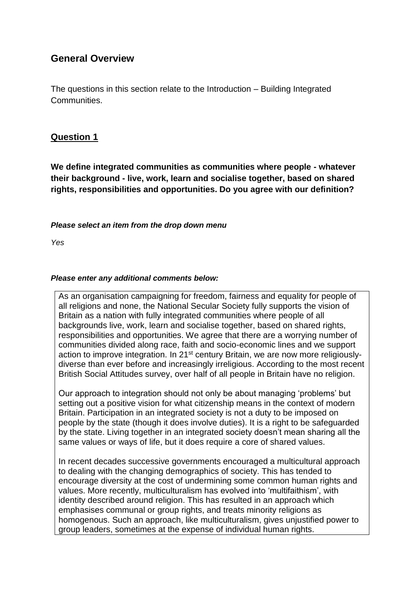# **General Overview**

The questions in this section relate to the Introduction – Building Integrated Communities.

# **Question 1**

**We define integrated communities as communities where people - whatever their background - live, work, learn and socialise together, based on shared rights, responsibilities and opportunities. Do you agree with our definition?**

#### *Please select an item from the drop down menu*

*Yes*

#### *Please enter any additional comments below:*

As an organisation campaigning for freedom, fairness and equality for people of all religions and none, the National Secular Society fully supports the vision of Britain as a nation with fully integrated communities where people of all backgrounds live, work, learn and socialise together, based on shared rights, responsibilities and opportunities. We agree that there are a worrying number of communities divided along race, faith and socio-economic lines and we support action to improve integration. In 21<sup>st</sup> century Britain, we are now more religiouslydiverse than ever before and increasingly irreligious. According to the most recent British Social Attitudes survey, over half of all people in Britain have no religion.

Our approach to integration should not only be about managing 'problems' but setting out a positive vision for what citizenship means in the context of modern Britain. Participation in an integrated society is not a duty to be imposed on people by the state (though it does involve duties). It is a right to be safeguarded by the state. Living together in an integrated society doesn't mean sharing all the same values or ways of life, but it does require a core of shared values.

In recent decades successive governments encouraged a multicultural approach to dealing with the changing demographics of society. This has tended to encourage diversity at the cost of undermining some common human rights and values. More recently, multiculturalism has evolved into 'multifaithism', with identity described around religion. This has resulted in an approach which emphasises communal or group rights, and treats minority religions as homogenous. Such an approach, like multiculturalism, gives unjustified power to group leaders, sometimes at the expense of individual human rights.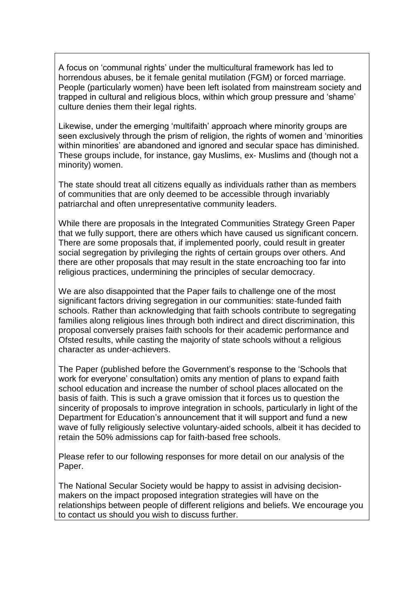A focus on 'communal rights' under the multicultural framework has led to horrendous abuses, be it female genital mutilation (FGM) or forced marriage. People (particularly women) have been left isolated from mainstream society and trapped in cultural and religious blocs, within which group pressure and 'shame' culture denies them their legal rights.

Likewise, under the emerging 'multifaith' approach where minority groups are seen exclusively through the prism of religion, the rights of women and 'minorities within minorities' are abandoned and ignored and secular space has diminished. These groups include, for instance, gay Muslims, ex- Muslims and (though not a minority) women.

The state should treat all citizens equally as individuals rather than as members of communities that are only deemed to be accessible through invariably patriarchal and often unrepresentative community leaders.

While there are proposals in the Integrated Communities Strategy Green Paper that we fully support, there are others which have caused us significant concern. There are some proposals that, if implemented poorly, could result in greater social segregation by privileging the rights of certain groups over others. And there are other proposals that may result in the state encroaching too far into religious practices, undermining the principles of secular democracy.

We are also disappointed that the Paper fails to challenge one of the most significant factors driving segregation in our communities: state-funded faith schools. Rather than acknowledging that faith schools contribute to segregating families along religious lines through both indirect and direct discrimination, this proposal conversely praises faith schools for their academic performance and Ofsted results, while casting the majority of state schools without a religious character as under-achievers.

The Paper (published before the Government's response to the 'Schools that work for everyone' consultation) omits any mention of plans to expand faith school education and increase the number of school places allocated on the basis of faith. This is such a grave omission that it forces us to question the sincerity of proposals to improve integration in schools, particularly in light of the Department for Education's announcement that it will support and fund a new wave of fully religiously selective voluntary-aided schools, albeit it has decided to retain the 50% admissions cap for faith-based free schools.

Please refer to our following responses for more detail on our analysis of the Paper.

The National Secular Society would be happy to assist in advising decisionmakers on the impact proposed integration strategies will have on the relationships between people of different religions and beliefs. We encourage you to contact us should you wish to discuss further.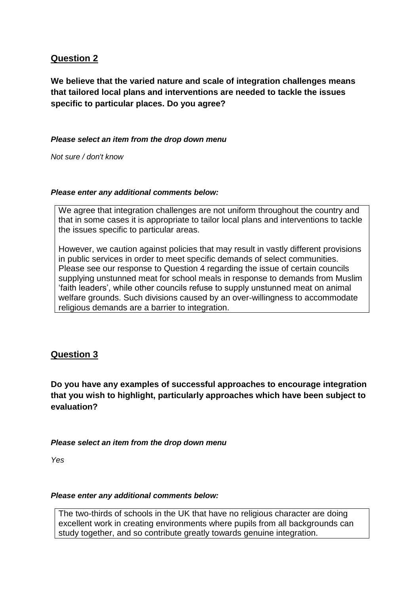# **Question 2**

**We believe that the varied nature and scale of integration challenges means that tailored local plans and interventions are needed to tackle the issues specific to particular places. Do you agree?** 

#### *Please select an item from the drop down menu*

*Not sure / don't know*

#### *Please enter any additional comments below:*

We agree that integration challenges are not uniform throughout the country and that in some cases it is appropriate to tailor local plans and interventions to tackle the issues specific to particular areas.

However, we caution against policies that may result in vastly different provisions in public services in order to meet specific demands of select communities. Please see our response to Question 4 regarding the issue of certain councils supplying unstunned meat for school meals in response to demands from Muslim 'faith leaders', while other councils refuse to supply unstunned meat on animal welfare grounds. Such divisions caused by an over-willingness to accommodate religious demands are a barrier to integration.

## **Question 3**

**Do you have any examples of successful approaches to encourage integration that you wish to highlight, particularly approaches which have been subject to evaluation?** 

#### *Please select an item from the drop down menu*

*Yes*

#### *Please enter any additional comments below:*

The two-thirds of schools in the UK that have no religious character are doing excellent work in creating environments where pupils from all backgrounds can study together, and so contribute greatly towards genuine integration.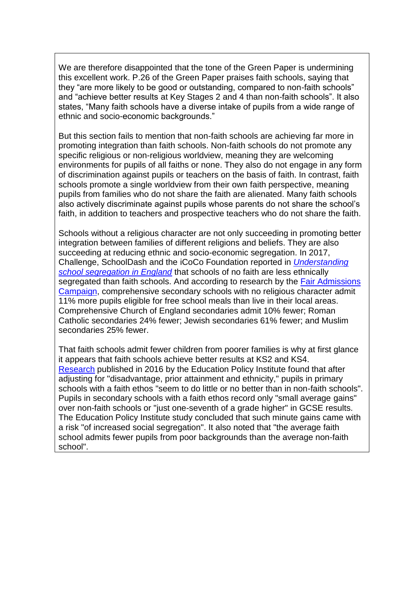We are therefore disappointed that the tone of the Green Paper is undermining this excellent work. P.26 of the Green Paper praises faith schools, saying that they "are more likely to be good or outstanding, compared to non-faith schools" and "achieve better results at Key Stages 2 and 4 than non-faith schools". It also states, "Many faith schools have a diverse intake of pupils from a wide range of ethnic and socio-economic backgrounds."

But this section fails to mention that non-faith schools are achieving far more in promoting integration than faith schools. Non-faith schools do not promote any specific religious or non-religious worldview, meaning they are welcoming environments for pupils of all faiths or none. They also do not engage in any form of discrimination against pupils or teachers on the basis of faith. In contrast, faith schools promote a single worldview from their own faith perspective, meaning pupils from families who do not share the faith are alienated. Many faith schools also actively discriminate against pupils whose parents do not share the school's faith, in addition to teachers and prospective teachers who do not share the faith.

Schools without a religious character are not only succeeding in promoting better integration between families of different religions and beliefs. They are also succeeding at reducing ethnic and socio-economic segregation. In 2017, Challenge, SchoolDash and the iCoCo Foundation reported in *[Understanding](http://tedcantle.co.uk/wp-content/uploads/2013/03/Understanding-School-Segregation-in-England-2011-2016-Final.pdf)  [school segregation in England](http://tedcantle.co.uk/wp-content/uploads/2013/03/Understanding-School-Segregation-in-England-2011-2016-Final.pdf)* that schools of no faith are less ethnically segregated than faith schools. And according to research by the Fair Admissions [Campaign,](http://cdn1.fairadmissions.org.uk/wp-content/uploads/2013/12/Fair-Admissions-Campaign-map-in-depth-briefing.pdf) comprehensive secondary schools with no religious character admit 11% more pupils eligible for free school meals than live in their local areas. Comprehensive Church of England secondaries admit 10% fewer; Roman Catholic secondaries 24% fewer; Jewish secondaries 61% fewer; and Muslim secondaries 25% fewer.

That faith schools admit fewer children from poorer families is why at first glance it appears that faith schools achieve better results at KS2 and KS4. [Research](http://epi.org.uk/wp-content/uploads/2016/11/Pupil_characteristics_and_performance_at_faith_schools.pdf) published in 2016 by the Education Policy Institute found that after adjusting for "disadvantage, prior attainment and ethnicity," pupils in primary schools with a faith ethos "seem to do little or no better than in non-faith schools". Pupils in secondary schools with a faith ethos record only "small average gains" over non-faith schools or "just one-seventh of a grade higher" in GCSE results. The Education Policy Institute study concluded that such minute gains came with a risk "of increased social segregation". It also noted that "the average faith school admits fewer pupils from poor backgrounds than the average non-faith school".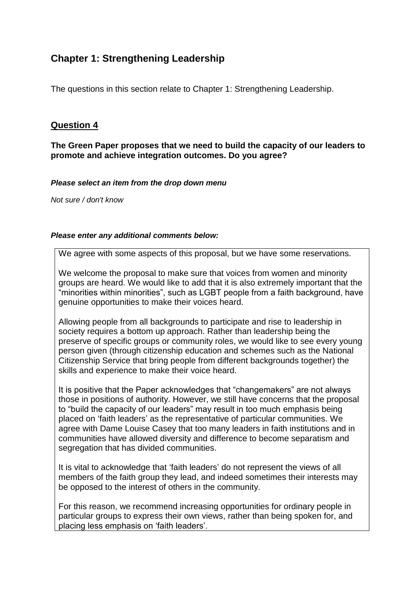# **Chapter 1: Strengthening Leadership**

The questions in this section relate to Chapter 1: Strengthening Leadership.

#### **Question 4**

#### **The Green Paper proposes that we need to build the capacity of our leaders to promote and achieve integration outcomes. Do you agree?**

*Please select an item from the drop down menu*

*Not sure / don't know*

#### *Please enter any additional comments below:*

We agree with some aspects of this proposal, but we have some reservations.

We welcome the proposal to make sure that voices from women and minority groups are heard. We would like to add that it is also extremely important that the "minorities within minorities", such as LGBT people from a faith background, have genuine opportunities to make their voices heard.

Allowing people from all backgrounds to participate and rise to leadership in society requires a bottom up approach. Rather than leadership being the preserve of specific groups or community roles, we would like to see every young person given (through citizenship education and schemes such as the National Citizenship Service that bring people from different backgrounds together) the skills and experience to make their voice heard.

It is positive that the Paper acknowledges that "changemakers" are not always those in positions of authority. However, we still have concerns that the proposal to "build the capacity of our leaders" may result in too much emphasis being placed on 'faith leaders' as the representative of particular communities. We agree with Dame Louise Casey that too many leaders in faith institutions and in communities have allowed diversity and difference to become separatism and segregation that has divided communities.

It is vital to acknowledge that 'faith leaders' do not represent the views of all members of the faith group they lead, and indeed sometimes their interests may be opposed to the interest of others in the community.

For this reason, we recommend increasing opportunities for ordinary people in particular groups to express their own views, rather than being spoken for, and placing less emphasis on 'faith leaders'.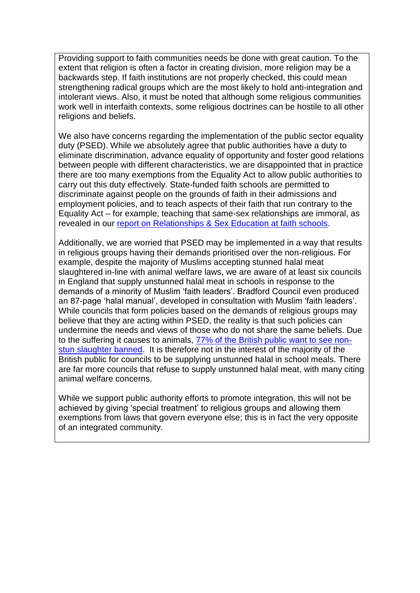Providing support to faith communities needs be done with great caution. To the extent that religion is often a factor in creating division, more religion may be a backwards step. If faith institutions are not properly checked, this could mean strengthening radical groups which are the most likely to hold anti-integration and intolerant views. Also, it must be noted that although some religious communities work well in interfaith contexts, some religious doctrines can be hostile to all other religions and beliefs.

We also have concerns regarding the implementation of the public sector equality duty (PSED). While we absolutely agree that public authorities have a duty to eliminate discrimination, advance equality of opportunity and foster good relations between people with different characteristics, we are disappointed that in practice there are too many exemptions from the Equality Act to allow public authorities to carry out this duty effectively. State-funded faith schools are permitted to discriminate against people on the grounds of faith in their admissions and employment policies, and to teach aspects of their faith that run contrary to the Equality Act – for example, teaching that same-sex relationships are immoral, as revealed in our [report on Relationships & Sex Education at faith schools.](https://www.secularism.org.uk/uploads/unsafe-sex-report-april-2018.pdf)

Additionally, we are worried that PSED may be implemented in a way that results in religious groups having their demands prioritised over the non-religious. For example, despite the majority of Muslims accepting stunned halal meat slaughtered in-line with animal welfare laws, we are aware of at least six councils in England that supply unstunned halal meat in schools in response to the demands of a minority of Muslim 'faith leaders'. Bradford Council even produced an 87-page 'halal manual', developed in consultation with Muslim 'faith leaders'. While councils that form policies based on the demands of religious groups may believe that they are acting within PSED, the reality is that such policies can undermine the needs and views of those who do not share the same beliefs. Due to the suffering it causes to animals, [77% of the British public want to see non](https://publications.parliament.uk/pa/cm201415/cmhansrd/cm150223/halltext/150223h0001.htm#15022324000002)[stun slaughter banned.](https://publications.parliament.uk/pa/cm201415/cmhansrd/cm150223/halltext/150223h0001.htm#15022324000002) It is therefore not in the interest of the majority of the British public for councils to be supplying unstunned halal in school meals. There are far more councils that refuse to supply unstunned halal meat, with many citing animal welfare concerns.

While we support public authority efforts to promote integration, this will not be achieved by giving 'special treatment' to religious groups and allowing them exemptions from laws that govern everyone else; this is in fact the very opposite of an integrated community.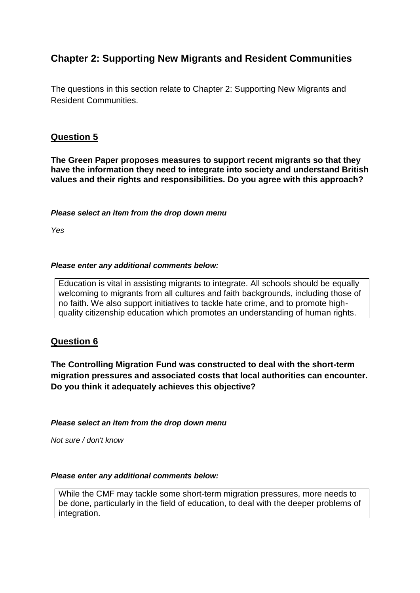# **Chapter 2: Supporting New Migrants and Resident Communities**

The questions in this section relate to Chapter 2: Supporting New Migrants and Resident Communities.

# **Question 5**

**The Green Paper proposes measures to support recent migrants so that they have the information they need to integrate into society and understand British values and their rights and responsibilities. Do you agree with this approach?** 

#### *Please select an item from the drop down menu*

*Yes*

#### *Please enter any additional comments below:*

Education is vital in assisting migrants to integrate. All schools should be equally welcoming to migrants from all cultures and faith backgrounds, including those of no faith. We also support initiatives to tackle hate crime, and to promote highquality citizenship education which promotes an understanding of human rights.

## **Question 6**

**The Controlling Migration Fund was constructed to deal with the short-term migration pressures and associated costs that local authorities can encounter. Do you think it adequately achieves this objective?** 

*Please select an item from the drop down menu*

*Not sure / don't know*

#### *Please enter any additional comments below:*

While the CMF may tackle some short-term migration pressures, more needs to be done, particularly in the field of education, to deal with the deeper problems of integration.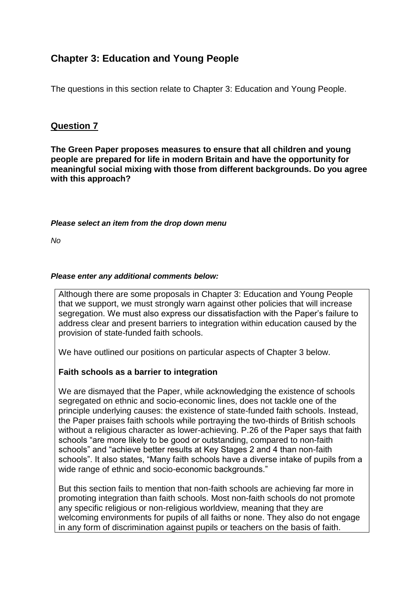# **Chapter 3: Education and Young People**

The questions in this section relate to Chapter 3: Education and Young People.

#### **Question 7**

**The Green Paper proposes measures to ensure that all children and young people are prepared for life in modern Britain and have the opportunity for meaningful social mixing with those from different backgrounds. Do you agree with this approach?** 

#### *Please select an item from the drop down menu*

*No*

#### *Please enter any additional comments below:*

Although there are some proposals in Chapter 3: Education and Young People that we support, we must strongly warn against other policies that will increase segregation. We must also express our dissatisfaction with the Paper's failure to address clear and present barriers to integration within education caused by the provision of state-funded faith schools.

We have outlined our positions on particular aspects of Chapter 3 below.

#### **Faith schools as a barrier to integration**

We are dismayed that the Paper, while acknowledging the existence of schools segregated on ethnic and socio-economic lines, does not tackle one of the principle underlying causes: the existence of state-funded faith schools. Instead, the Paper praises faith schools while portraying the two-thirds of British schools without a religious character as lower-achieving. P.26 of the Paper says that faith schools "are more likely to be good or outstanding, compared to non-faith schools" and "achieve better results at Key Stages 2 and 4 than non-faith schools". It also states, "Many faith schools have a diverse intake of pupils from a wide range of ethnic and socio-economic backgrounds."

But this section fails to mention that non-faith schools are achieving far more in promoting integration than faith schools. Most non-faith schools do not promote any specific religious or non-religious worldview, meaning that they are welcoming environments for pupils of all faiths or none. They also do not engage in any form of discrimination against pupils or teachers on the basis of faith.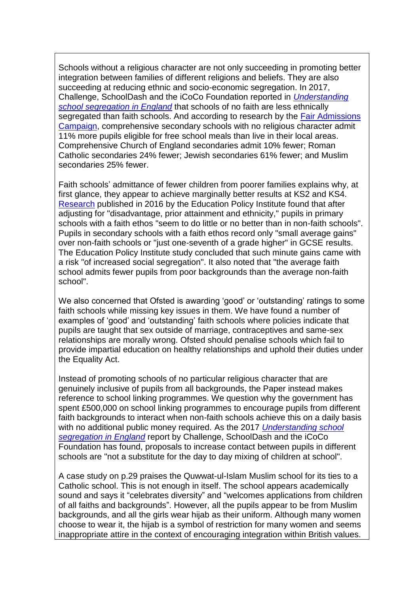Schools without a religious character are not only succeeding in promoting better integration between families of different religions and beliefs. They are also succeeding at reducing ethnic and socio-economic segregation. In 2017, Challenge, SchoolDash and the iCoCo Foundation reported in *[Understanding](http://tedcantle.co.uk/wp-content/uploads/2013/03/Understanding-School-Segregation-in-England-2011-2016-Final.pdf)  [school segregation in England](http://tedcantle.co.uk/wp-content/uploads/2013/03/Understanding-School-Segregation-in-England-2011-2016-Final.pdf)* that schools of no faith are less ethnically segregated than faith schools. And according to research by the Fair Admissions [Campaign,](http://cdn1.fairadmissions.org.uk/wp-content/uploads/2013/12/Fair-Admissions-Campaign-map-in-depth-briefing.pdf) comprehensive secondary schools with no religious character admit 11% more pupils eligible for free school meals than live in their local areas. Comprehensive Church of England secondaries admit 10% fewer; Roman Catholic secondaries 24% fewer; Jewish secondaries 61% fewer; and Muslim secondaries 25% fewer.

Faith schools' admittance of fewer children from poorer families explains why, at first glance, they appear to achieve marginally better results at KS2 and KS4. [Research](http://epi.org.uk/wp-content/uploads/2016/11/Pupil_characteristics_and_performance_at_faith_schools.pdf) published in 2016 by the Education Policy Institute found that after adjusting for "disadvantage, prior attainment and ethnicity," pupils in primary schools with a faith ethos "seem to do little or no better than in non-faith schools". Pupils in secondary schools with a faith ethos record only "small average gains" over non-faith schools or "just one-seventh of a grade higher" in GCSE results. The Education Policy Institute study concluded that such minute gains came with a risk "of increased social segregation". It also noted that "the average faith school admits fewer pupils from poor backgrounds than the average non-faith school".

We also concerned that Ofsted is awarding 'good' or 'outstanding' ratings to some faith schools while missing key issues in them. We have found a number of examples of 'good' and 'outstanding' faith schools where policies indicate that pupils are taught that sex outside of marriage, contraceptives and same-sex relationships are morally wrong. Ofsted should penalise schools which fail to provide impartial education on healthy relationships and uphold their duties under the Equality Act.

Instead of promoting schools of no particular religious character that are genuinely inclusive of pupils from all backgrounds, the Paper instead makes reference to school linking programmes. We question why the government has spent £500,000 on school linking programmes to encourage pupils from different faith backgrounds to interact when non-faith schools achieve this on a daily basis with no additional public money required. As the 2017 *[Understanding school](http://tedcantle.co.uk/wp-content/uploads/2013/03/Understanding-School-Segregation-in-England-2011-2016-Final.pdf)  [segregation in England](http://tedcantle.co.uk/wp-content/uploads/2013/03/Understanding-School-Segregation-in-England-2011-2016-Final.pdf)* report by Challenge, SchoolDash and the iCoCo Foundation has found, proposals to increase contact between pupils in different schools are "not a substitute for the day to day mixing of children at school".

A case study on p.29 praises the Quwwat-ul-Islam Muslim school for its ties to a Catholic school. This is not enough in itself. The school appears academically sound and says it "celebrates diversity" and "welcomes applications from children of all faiths and backgrounds". However, all the pupils appear to be from Muslim backgrounds, and all the girls wear hijab as their uniform. Although many women choose to wear it, the hijab is a symbol of restriction for many women and seems inappropriate attire in the context of encouraging integration within British values.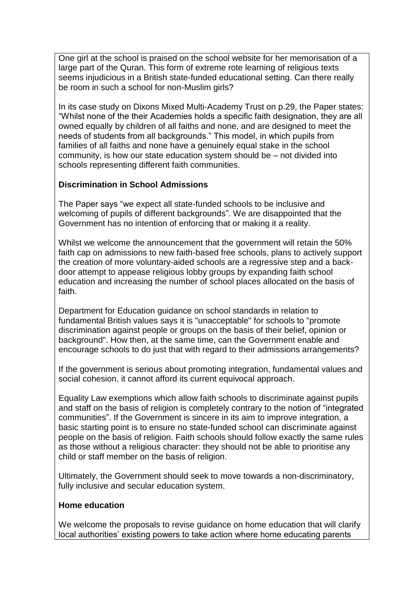One girl at the school is praised on the school website for her memorisation of a large part of the Quran. This form of extreme rote learning of religious texts seems injudicious in a British state-funded educational setting. Can there really be room in such a school for non-Muslim girls?

In its case study on Dixons Mixed Multi-Academy Trust on p.29, the Paper states: "Whilst none of the their Academies holds a specific faith designation, they are all owned equally by children of all faiths and none, and are designed to meet the needs of students from all backgrounds." This model, in which pupils from families of all faiths and none have a genuinely equal stake in the school community, is how our state education system should be – not divided into schools representing different faith communities.

# **Discrimination in School Admissions**

The Paper says "we expect all state-funded schools to be inclusive and welcoming of pupils of different backgrounds". We are disappointed that the Government has no intention of enforcing that or making it a reality.

Whilst we welcome the announcement that the government will retain the 50% faith cap on admissions to new faith-based free schools, plans to actively support the creation of more voluntary-aided schools are a regressive step and a backdoor attempt to appease religious lobby groups by expanding faith school education and increasing the number of school places allocated on the basis of faith.

Department for Education guidance on school standards in relation to fundamental British values says it is "unacceptable" for schools to "promote discrimination against people or groups on the basis of their belief, opinion or background". How then, at the same time, can the Government enable and encourage schools to do just that with regard to their admissions arrangements?

If the government is serious about promoting integration, fundamental values and social cohesion, it cannot afford its current equivocal approach.

Equality Law exemptions which allow faith schools to discriminate against pupils and staff on the basis of religion is completely contrary to the notion of "integrated communities". If the Government is sincere in its aim to improve integration, a basic starting point is to ensure no state-funded school can discriminate against people on the basis of religion. Faith schools should follow exactly the same rules as those without a religious character: they should not be able to prioritise any child or staff member on the basis of religion.

Ultimately, the Government should seek to move towards a non-discriminatory, fully inclusive and secular education system.

## **Home education**

We welcome the proposals to revise guidance on home education that will clarify local authorities' existing powers to take action where home educating parents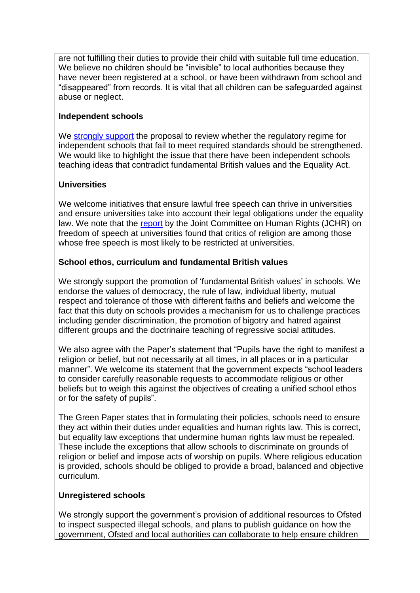are not fulfilling their duties to provide their child with suitable full time education. We believe no children should be "invisible" to local authorities because they have never been registered at a school, or have been withdrawn from school and "disappeared" from records. It is vital that all children can be safeguarded against abuse or neglect.

# **Independent schools**

We [strongly support](https://www.secularism.org.uk/news/2018/05/nss-guidance-for-independent-schools-strikes-the-right-balance) the proposal to review whether the regulatory regime for independent schools that fail to meet required standards should be strengthened. We would like to highlight the issue that there have been independent schools teaching ideas that contradict fundamental British values and the Equality Act.

# **Universities**

We welcome initiatives that ensure lawful free speech can thrive in universities and ensure universities take into account their legal obligations under the equality law. We note that the [report](https://publications.parliament.uk/pa/jt201719/jtselect/jtrights/589/589.pdf) by the Joint Committee on Human Rights (JCHR) on freedom of speech at universities found that critics of religion are among those whose free speech is most likely to be restricted at universities.

# **School ethos, curriculum and fundamental British values**

We strongly support the promotion of 'fundamental British values' in schools. We endorse the values of democracy, the rule of law, individual liberty, mutual respect and tolerance of those with different faiths and beliefs and welcome the fact that this duty on schools provides a mechanism for us to challenge practices including gender discrimination, the promotion of bigotry and hatred against different groups and the doctrinaire teaching of regressive social attitudes.

We also agree with the Paper's statement that "Pupils have the right to manifest a religion or belief, but not necessarily at all times, in all places or in a particular manner". We welcome its statement that the government expects "school leaders to consider carefully reasonable requests to accommodate religious or other beliefs but to weigh this against the objectives of creating a unified school ethos or for the safety of pupils".

The Green Paper states that in formulating their policies, schools need to ensure they act within their duties under equalities and human rights law. This is correct, but equality law exceptions that undermine human rights law must be repealed. These include the exceptions that allow schools to discriminate on grounds of religion or belief and impose acts of worship on pupils. Where religious education is provided, schools should be obliged to provide a broad, balanced and objective curriculum.

## **Unregistered schools**

We strongly support the government's provision of additional resources to Ofsted to inspect suspected illegal schools, and plans to publish guidance on how the government, Ofsted and local authorities can collaborate to help ensure children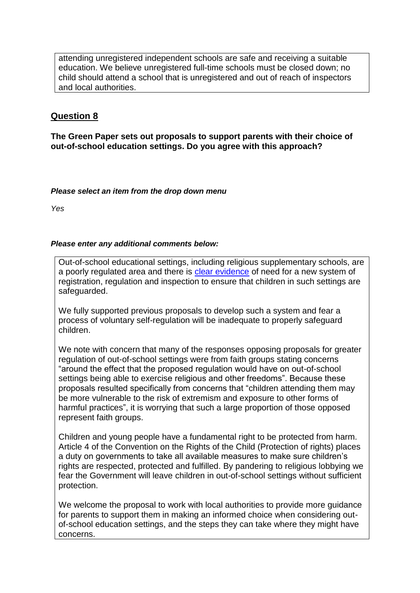attending unregistered independent schools are safe and receiving a suitable education. We believe unregistered full-time schools must be closed down; no child should attend a school that is unregistered and out of reach of inspectors and local authorities.

# **Question 8**

**The Green Paper sets out proposals to support parents with their choice of out-of-school education settings. Do you agree with this approach?**

#### *Please select an item from the drop down menu*

*Yes*

#### *Please enter any additional comments below:*

Out-of-school educational settings, including religious supplementary schools, are a poorly regulated area and there is [clear evidence](https://www.secularism.org.uk/uploads/nss-written-submissions-on-out-of-school-educationweb.pdf) of need for a new system of registration, regulation and inspection to ensure that children in such settings are safeguarded.

We fully supported previous proposals to develop such a system and fear a process of voluntary self-regulation will be inadequate to properly safeguard children.

We note with concern that many of the responses opposing proposals for greater regulation of out-of-school settings were from faith groups stating concerns "around the effect that the proposed regulation would have on out-of-school settings being able to exercise religious and other freedoms". Because these proposals resulted specifically from concerns that "children attending them may be more vulnerable to the risk of extremism and exposure to other forms of harmful practices", it is worrying that such a large proportion of those opposed represent faith groups.

Children and young people have a fundamental right to be protected from harm. Article 4 of the Convention on the Rights of the Child (Protection of rights) places a duty on governments to take all available measures to make sure children's rights are respected, protected and fulfilled. By pandering to religious lobbying we fear the Government will leave children in out-of-school settings without sufficient protection.

We welcome the proposal to work with local authorities to provide more quidance for parents to support them in making an informed choice when considering outof-school education settings, and the steps they can take where they might have concerns.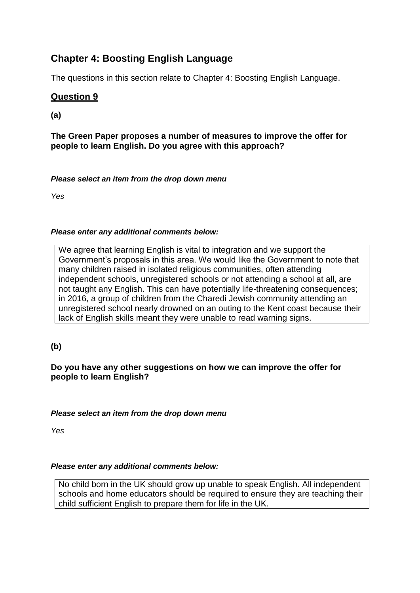# **Chapter 4: Boosting English Language**

The questions in this section relate to Chapter 4: Boosting English Language.

# **Question 9**

**(a)**

**The Green Paper proposes a number of measures to improve the offer for people to learn English. Do you agree with this approach?** 

#### *Please select an item from the drop down menu*

*Yes*

## *Please enter any additional comments below:*

We agree that learning English is vital to integration and we support the Government's proposals in this area. We would like the Government to note that many children raised in isolated religious communities, often attending independent schools, unregistered schools or not attending a school at all, are not taught any English. This can have potentially life-threatening consequences; in 2016, a group of children from the Charedi Jewish community attending an unregistered school nearly drowned on an outing to the Kent coast because their lack of English skills meant they were unable to read warning signs.

**(b)**

## **Do you have any other suggestions on how we can improve the offer for people to learn English?**

#### *Please select an item from the drop down menu*

*Yes*

#### *Please enter any additional comments below:*

No child born in the UK should grow up unable to speak English. All independent schools and home educators should be required to ensure they are teaching their child sufficient English to prepare them for life in the UK.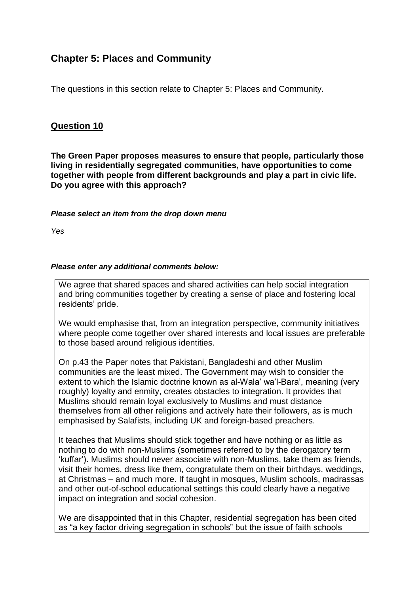# **Chapter 5: Places and Community**

The questions in this section relate to Chapter 5: Places and Community.

# **Question 10**

**The Green Paper proposes measures to ensure that people, particularly those living in residentially segregated communities, have opportunities to come together with people from different backgrounds and play a part in civic life. Do you agree with this approach?**

#### *Please select an item from the drop down menu*

*Yes*

#### *Please enter any additional comments below:*

We agree that shared spaces and shared activities can help social integration and bring communities together by creating a sense of place and fostering local residents' pride.

We would emphasise that, from an integration perspective, community initiatives where people come together over shared interests and local issues are preferable to those based around religious identities.

On p.43 the Paper notes that Pakistani, Bangladeshi and other Muslim communities are the least mixed. The Government may wish to consider the extent to which the Islamic doctrine known as al-Wala' wa'l-Bara', meaning (very roughly) loyalty and enmity, creates obstacles to integration. It provides that Muslims should remain loyal exclusively to Muslims and must distance themselves from all other religions and actively hate their followers, as is much emphasised by Salafists, including UK and foreign-based preachers.

It teaches that Muslims should stick together and have nothing or as little as nothing to do with non-Muslims (sometimes referred to by the derogatory term 'kuffar'). Muslims should never associate with non-Muslims, take them as friends, visit their homes, dress like them, congratulate them on their birthdays, weddings, at Christmas – and much more. If taught in mosques, Muslim schools, madrassas and other out-of-school educational settings this could clearly have a negative impact on integration and social cohesion.

We are disappointed that in this Chapter, residential segregation has been cited as "a key factor driving segregation in schools" but the issue of faith schools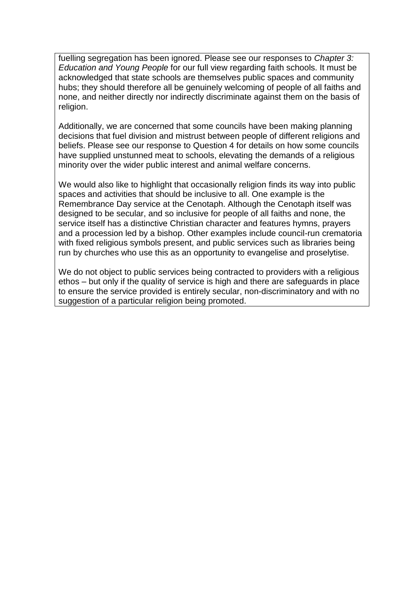fuelling segregation has been ignored. Please see our responses to *Chapter 3: Education and Young People* for our full view regarding faith schools. It must be acknowledged that state schools are themselves public spaces and community hubs; they should therefore all be genuinely welcoming of people of all faiths and none, and neither directly nor indirectly discriminate against them on the basis of religion.

Additionally, we are concerned that some councils have been making planning decisions that fuel division and mistrust between people of different religions and beliefs. Please see our response to Question 4 for details on how some councils have supplied unstunned meat to schools, elevating the demands of a religious minority over the wider public interest and animal welfare concerns.

We would also like to highlight that occasionally religion finds its way into public spaces and activities that should be inclusive to all. One example is the Remembrance Day service at the Cenotaph. Although the Cenotaph itself was designed to be secular, and so inclusive for people of all faiths and none, the service itself has a distinctive Christian character and features hymns, prayers and a procession led by a bishop. Other examples include council-run crematoria with fixed religious symbols present, and public services such as libraries being run by churches who use this as an opportunity to evangelise and proselytise.

We do not object to public services being contracted to providers with a religious ethos – but only if the quality of service is high and there are safeguards in place to ensure the service provided is entirely secular, non-discriminatory and with no suggestion of a particular religion being promoted.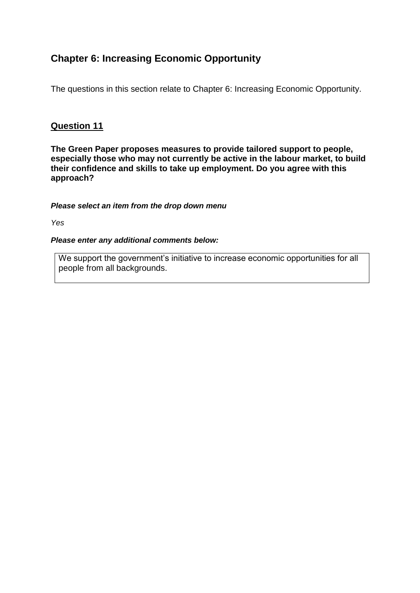# **Chapter 6: Increasing Economic Opportunity**

The questions in this section relate to Chapter 6: Increasing Economic Opportunity.

# **Question 11**

**The Green Paper proposes measures to provide tailored support to people, especially those who may not currently be active in the labour market, to build their confidence and skills to take up employment. Do you agree with this approach?**

*Please select an item from the drop down menu*

*Yes*

*Please enter any additional comments below:* 

We support the government's initiative to increase economic opportunities for all people from all backgrounds.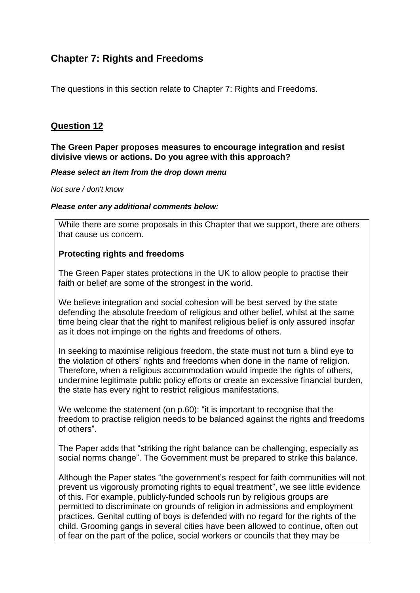# **Chapter 7: Rights and Freedoms**

The questions in this section relate to Chapter 7: Rights and Freedoms.

# **Question 12**

#### **The Green Paper proposes measures to encourage integration and resist divisive views or actions. Do you agree with this approach?**

#### *Please select an item from the drop down menu*

*Not sure / don't know*

#### *Please enter any additional comments below:*

While there are some proposals in this Chapter that we support, there are others that cause us concern.

#### **Protecting rights and freedoms**

The Green Paper states protections in the UK to allow people to practise their faith or belief are some of the strongest in the world.

We believe integration and social cohesion will be best served by the state defending the absolute freedom of religious and other belief, whilst at the same time being clear that the right to manifest religious belief is only assured insofar as it does not impinge on the rights and freedoms of others.

In seeking to maximise religious freedom, the state must not turn a blind eye to the violation of others' rights and freedoms when done in the name of religion. Therefore, when a religious accommodation would impede the rights of others, undermine legitimate public policy efforts or create an excessive financial burden, the state has every right to restrict religious manifestations.

We welcome the statement (on p.60): "it is important to recognise that the freedom to practise religion needs to be balanced against the rights and freedoms of others".

The Paper adds that "striking the right balance can be challenging, especially as social norms change". The Government must be prepared to strike this balance.

Although the Paper states "the government's respect for faith communities will not prevent us vigorously promoting rights to equal treatment", we see little evidence of this. For example, publicly-funded schools run by religious groups are permitted to discriminate on grounds of religion in admissions and employment practices. Genital cutting of boys is defended with no regard for the rights of the child. Grooming gangs in several cities have been allowed to continue, often out of fear on the part of the police, social workers or councils that they may be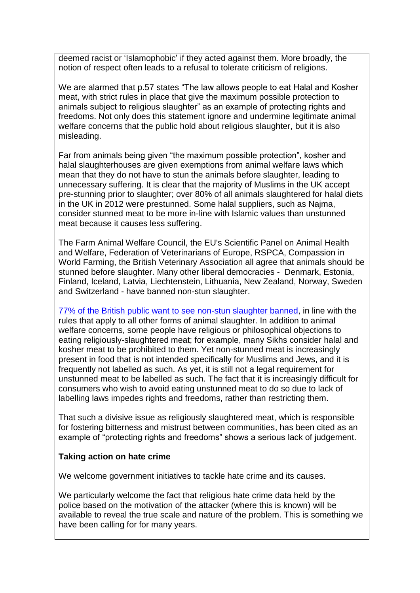deemed racist or 'Islamophobic' if they acted against them. More broadly, the notion of respect often leads to a refusal to tolerate criticism of religions.

We are alarmed that p.57 states "The law allows people to eat Halal and Kosher meat, with strict rules in place that give the maximum possible protection to animals subject to religious slaughter" as an example of protecting rights and freedoms. Not only does this statement ignore and undermine legitimate animal welfare concerns that the public hold about religious slaughter, but it is also misleading.

Far from animals being given "the maximum possible protection", kosher and halal slaughterhouses are given exemptions from animal welfare laws which mean that they do not have to stun the animals before slaughter, leading to unnecessary suffering. It is clear that the majority of Muslims in the UK accept pre-stunning prior to slaughter; over 80% of all animals slaughtered for halal diets in the UK in 2012 were prestunned. Some halal suppliers, such as Najma, consider stunned meat to be more in-line with Islamic values than unstunned meat because it causes less suffering.

The Farm Animal Welfare Council, the EU's Scientific Panel on Animal Health and Welfare, Federation of Veterinarians of Europe, RSPCA, Compassion in World Farming, the British Veterinary Association all agree that animals should be stunned before slaughter. Many other liberal democracies - Denmark, Estonia, Finland, Iceland, Latvia, Liechtenstein, Lithuania, New Zealand, Norway, Sweden and Switzerland - have banned non-stun slaughter.

[77% of the British public want to see non-stun slaughter banned,](https://publications.parliament.uk/pa/cm201415/cmhansrd/cm150223/halltext/150223h0001.htm#15022324000002) in line with the rules that apply to all other forms of animal slaughter. In addition to animal welfare concerns, some people have religious or philosophical objections to eating religiously-slaughtered meat; for example, many Sikhs consider halal and kosher meat to be prohibited to them. Yet non-stunned meat is increasingly present in food that is not intended specifically for Muslims and Jews, and it is frequently not labelled as such. As yet, it is still not a legal requirement for unstunned meat to be labelled as such. The fact that it is increasingly difficult for consumers who wish to avoid eating unstunned meat to do so due to lack of labelling laws impedes rights and freedoms, rather than restricting them.

That such a divisive issue as religiously slaughtered meat, which is responsible for fostering bitterness and mistrust between communities, has been cited as an example of "protecting rights and freedoms" shows a serious lack of judgement.

## **Taking action on hate crime**

We welcome government initiatives to tackle hate crime and its causes.

We particularly welcome the fact that religious hate crime data held by the police based on the motivation of the attacker (where this is known) will be available to reveal the true scale and nature of the problem. This is something we have been calling for for many years.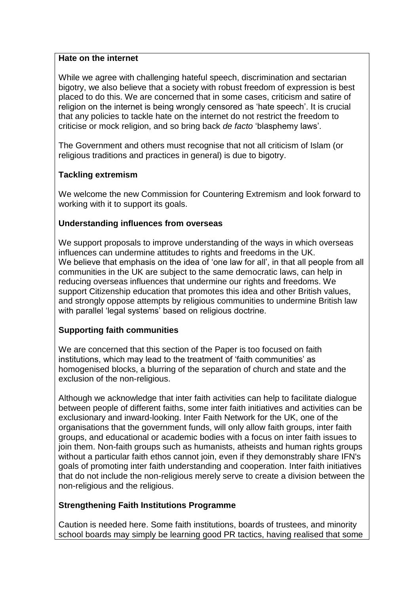#### **Hate on the internet**

While we agree with challenging hateful speech, discrimination and sectarian bigotry, we also believe that a society with robust freedom of expression is best placed to do this. We are concerned that in some cases, criticism and satire of religion on the internet is being wrongly censored as 'hate speech'. It is crucial that any policies to tackle hate on the internet do not restrict the freedom to criticise or mock religion, and so bring back *de facto* 'blasphemy laws'.

The Government and others must recognise that not all criticism of Islam (or religious traditions and practices in general) is due to bigotry.

## **Tackling extremism**

We welcome the new Commission for Countering Extremism and look forward to working with it to support its goals.

## **Understanding influences from overseas**

We support proposals to improve understanding of the ways in which overseas influences can undermine attitudes to rights and freedoms in the UK. We believe that emphasis on the idea of 'one law for all', in that all people from all communities in the UK are subject to the same democratic laws, can help in reducing overseas influences that undermine our rights and freedoms. We support Citizenship education that promotes this idea and other British values, and strongly oppose attempts by religious communities to undermine British law with parallel 'legal systems' based on religious doctrine.

# **Supporting faith communities**

We are concerned that this section of the Paper is too focused on faith institutions, which may lead to the treatment of 'faith communities' as homogenised blocks, a blurring of the separation of church and state and the exclusion of the non-religious.

Although we acknowledge that inter faith activities can help to facilitate dialogue between people of different faiths, some inter faith initiatives and activities can be exclusionary and inward-looking. Inter Faith Network for the UK, one of the organisations that the government funds, will only allow faith groups, inter faith groups, and educational or academic bodies with a focus on inter faith issues to join them. Non-faith groups such as humanists, atheists and human rights groups without a particular faith ethos cannot join, even if they demonstrably share IFN's goals of promoting inter faith understanding and cooperation. Inter faith initiatives that do not include the non-religious merely serve to create a division between the non-religious and the religious.

## **Strengthening Faith Institutions Programme**

Caution is needed here. Some faith institutions, boards of trustees, and minority school boards may simply be learning good PR tactics, having realised that some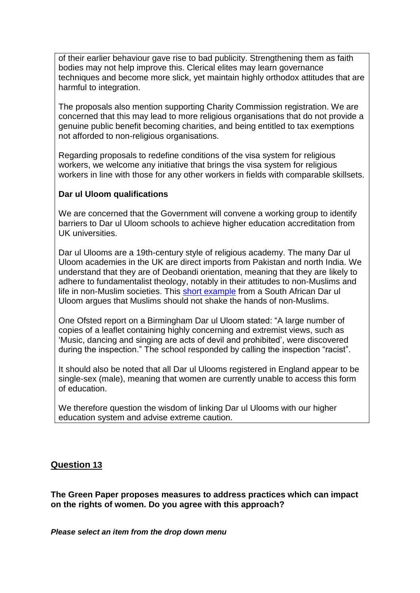of their earlier behaviour gave rise to bad publicity. Strengthening them as faith bodies may not help improve this. Clerical elites may learn governance techniques and become more slick, yet maintain highly orthodox attitudes that are harmful to integration.

The proposals also mention supporting Charity Commission registration. We are concerned that this may lead to more religious organisations that do not provide a genuine public benefit becoming charities, and being entitled to tax exemptions not afforded to non-religious organisations.

Regarding proposals to redefine conditions of the visa system for religious workers, we welcome any initiative that brings the visa system for religious workers in line with those for any other workers in fields with comparable skillsets.

## **Dar ul Uloom qualifications**

We are concerned that the Government will convene a working group to identify barriers to Dar ul Uloom schools to achieve higher education accreditation from UK universities.

Dar ul Ulooms are a 19th-century style of religious academy. The many Dar ul Uloom academies in the UK are direct imports from Pakistan and north India. We understand that they are of Deobandi orientation, meaning that they are likely to adhere to fundamentalist theology, notably in their attitudes to non-Muslims and life in non-Muslim societies. This [short example](http://www.dua.org.za/content/shaking-hands-kuffa) from a South African Dar ul Uloom argues that Muslims should not shake the hands of non-Muslims.

One Ofsted report on a Birmingham Dar ul Uloom stated: "A large number of copies of a leaflet containing highly concerning and extremist views, such as 'Music, dancing and singing are acts of devil and prohibited', were discovered during the inspection." The school responded by calling the inspection "racist".

It should also be noted that all Dar ul Ulooms registered in England appear to be single-sex (male), meaning that women are currently unable to access this form of education.

We therefore question the wisdom of linking Dar ul Ulooms with our higher education system and advise extreme caution.

# **Question 13**

**The Green Paper proposes measures to address practices which can impact on the rights of women. Do you agree with this approach?**

*Please select an item from the drop down menu*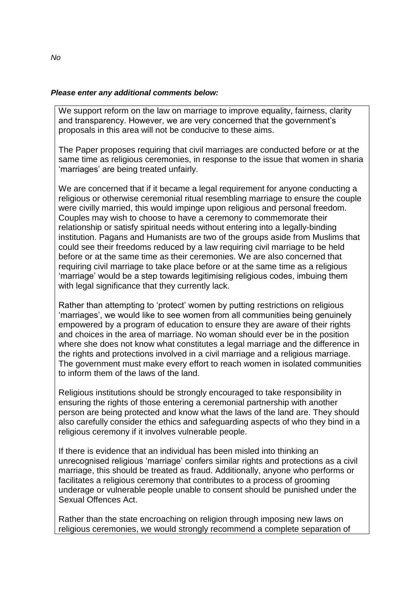#### *Please enter any additional comments below:*

We support reform on the law on marriage to improve equality, fairness, clarity and transparency. However, we are very concerned that the government's proposals in this area will not be conducive to these aims.

The Paper proposes requiring that civil marriages are conducted before or at the same time as religious ceremonies, in response to the issue that women in sharia 'marriages' are being treated unfairly.

We are concerned that if it became a legal requirement for anyone conducting a religious or otherwise ceremonial ritual resembling marriage to ensure the couple were civilly married, this would impinge upon religious and personal freedom. Couples may wish to choose to have a ceremony to commemorate their relationship or satisfy spiritual needs without entering into a legally-binding institution. Pagans and Humanists are two of the groups aside from Muslims that could see their freedoms reduced by a law requiring civil marriage to be held before or at the same time as their ceremonies. We are also concerned that requiring civil marriage to take place before or at the same time as a religious 'marriage' would be a step towards legitimising religious codes, imbuing them with legal significance that they currently lack.

Rather than attempting to 'protect' women by putting restrictions on religious 'marriages', we would like to see women from all communities being genuinely empowered by a program of education to ensure they are aware of their rights and choices in the area of marriage. No woman should ever be in the position where she does not know what constitutes a legal marriage and the difference in the rights and protections involved in a civil marriage and a religious marriage. The government must make every effort to reach women in isolated communities to inform them of the laws of the land.

Religious institutions should be strongly encouraged to take responsibility in ensuring the rights of those entering a ceremonial partnership with another person are being protected and know what the laws of the land are. They should also carefully consider the ethics and safeguarding aspects of who they bind in a religious ceremony if it involves vulnerable people.

If there is evidence that an individual has been misled into thinking an unrecognised religious 'marriage' confers similar rights and protections as a civil marriage, this should be treated as fraud. Additionally, anyone who performs or facilitates a religious ceremony that contributes to a process of grooming underage or vulnerable people unable to consent should be punished under the Sexual Offences Act.

Rather than the state encroaching on religion through imposing new laws on religious ceremonies, we would strongly recommend a complete separation of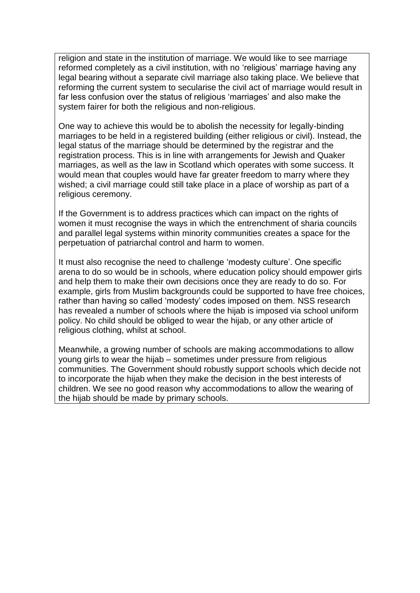religion and state in the institution of marriage. We would like to see marriage reformed completely as a civil institution, with no 'religious' marriage having any legal bearing without a separate civil marriage also taking place. We believe that reforming the current system to secularise the civil act of marriage would result in far less confusion over the status of religious 'marriages' and also make the system fairer for both the religious and non-religious.

One way to achieve this would be to abolish the necessity for legally-binding marriages to be held in a registered building (either religious or civil). Instead, the legal status of the marriage should be determined by the registrar and the registration process. This is in line with arrangements for Jewish and Quaker marriages, as well as the law in Scotland which operates with some success. It would mean that couples would have far greater freedom to marry where they wished; a civil marriage could still take place in a place of worship as part of a religious ceremony.

If the Government is to address practices which can impact on the rights of women it must recognise the ways in which the entrenchment of sharia councils and parallel legal systems within minority communities creates a space for the perpetuation of patriarchal control and harm to women.

It must also recognise the need to challenge 'modesty culture'. One specific arena to do so would be in schools, where education policy should empower girls and help them to make their own decisions once they are ready to do so. For example, girls from Muslim backgrounds could be supported to have free choices, rather than having so called 'modesty' codes imposed on them. NSS research has revealed a number of schools where the hijab is imposed via school uniform policy. No child should be obliged to wear the hijab, or any other article of religious clothing, whilst at school.

Meanwhile, a growing number of schools are making accommodations to allow young girls to wear the hijab – sometimes under pressure from religious communities. The Government should robustly support schools which decide not to incorporate the hijab when they make the decision in the best interests of children. We see no good reason why accommodations to allow the wearing of the hijab should be made by primary schools.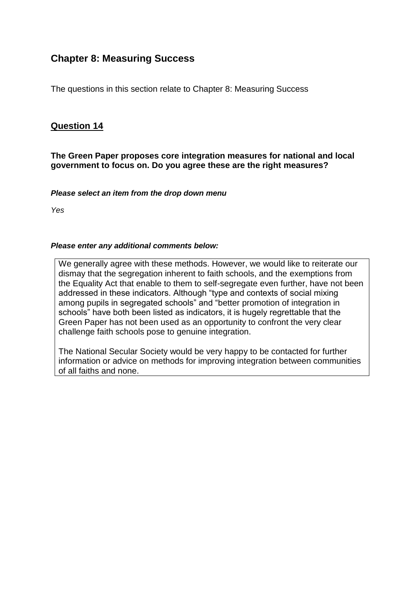# **Chapter 8: Measuring Success**

The questions in this section relate to Chapter 8: Measuring Success

# **Question 14**

**The Green Paper proposes core integration measures for national and local government to focus on. Do you agree these are the right measures?**

*Please select an item from the drop down menu*

*Yes*

#### *Please enter any additional comments below:*

We generally agree with these methods. However, we would like to reiterate our dismay that the segregation inherent to faith schools, and the exemptions from the Equality Act that enable to them to self-segregate even further, have not been addressed in these indicators. Although "type and contexts of social mixing among pupils in segregated schools" and "better promotion of integration in schools" have both been listed as indicators, it is hugely regrettable that the Green Paper has not been used as an opportunity to confront the very clear challenge faith schools pose to genuine integration.

The National Secular Society would be very happy to be contacted for further information or advice on methods for improving integration between communities of all faiths and none.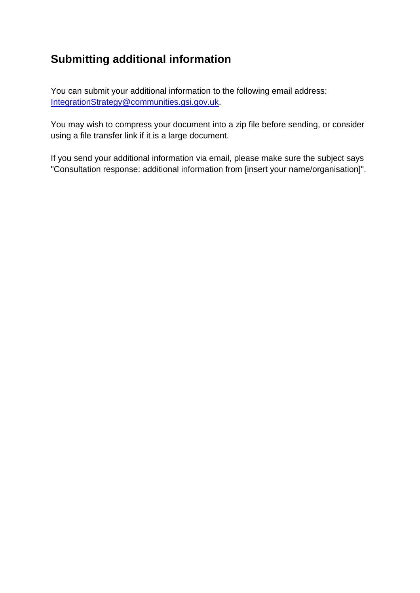# **Submitting additional information**

You can submit your additional information to the following email address: [IntegrationStrategy@communities.gsi.gov.uk.](mailto:IntegrationStrategy@communities.gsi.gov.uk)

You may wish to compress your document into a zip file before sending, or consider using a file transfer link if it is a large document.

If you send your additional information via email, please make sure the subject says "Consultation response: additional information from [insert your name/organisation]".